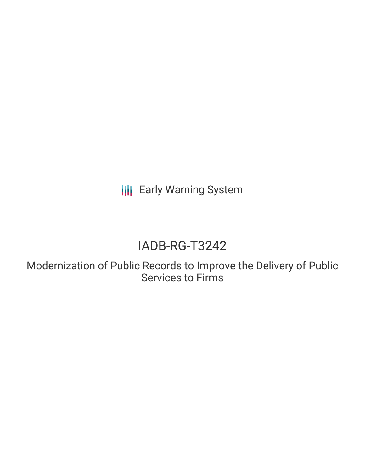**III** Early Warning System

# IADB-RG-T3242

Modernization of Public Records to Improve the Delivery of Public Services to Firms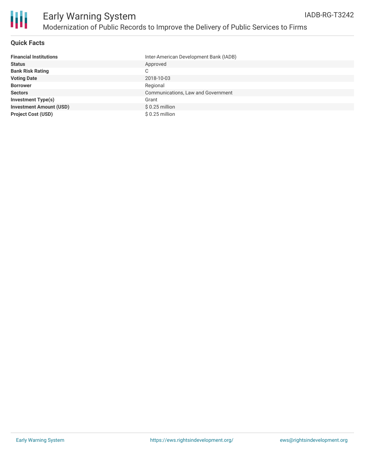

### **Quick Facts**

| <b>Financial Institutions</b>  | Inter-American Development Bank (IADB) |
|--------------------------------|----------------------------------------|
| <b>Status</b>                  | Approved                               |
| <b>Bank Risk Rating</b>        | C                                      |
| <b>Voting Date</b>             | 2018-10-03                             |
| <b>Borrower</b>                | Regional                               |
| <b>Sectors</b>                 | Communications, Law and Government     |
| <b>Investment Type(s)</b>      | Grant                                  |
| <b>Investment Amount (USD)</b> | $$0.25$ million                        |
| <b>Project Cost (USD)</b>      | $$0.25$ million                        |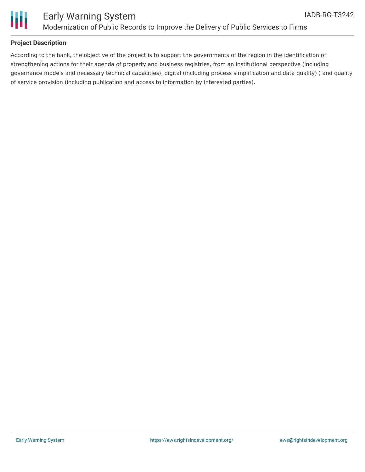

### Early Warning System Modernization of Public Records to Improve the Delivery of Public Services to Firms

### **Project Description**

According to the bank, the objective of the project is to support the governments of the region in the identification of strengthening actions for their agenda of property and business registries, from an institutional perspective (including governance models and necessary technical capacities), digital (including process simplification and data quality) ) and quality of service provision (including publication and access to information by interested parties).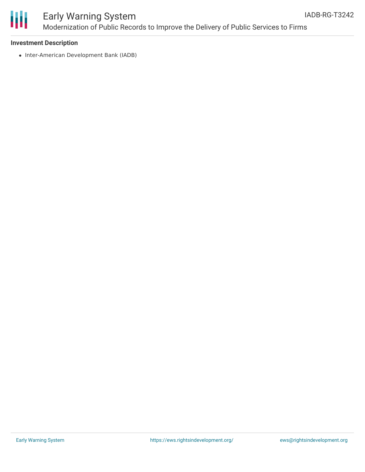

## Early Warning System Modernization of Public Records to Improve the Delivery of Public Services to Firms

#### **Investment Description**

• Inter-American Development Bank (IADB)